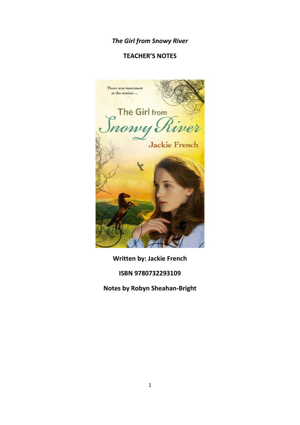# *The Girl from Snowy River*

# **TEACHER'S NOTES**



**Written by: Jackie French**

**ISBN 9780732293109**

**Notes by Robyn Sheahan-Bright**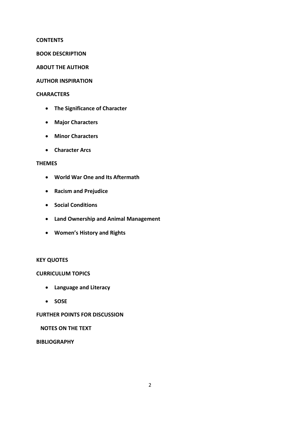#### **CONTENTS**

#### **BOOK DESCRIPTION**

### **ABOUT THE AUTHOR**

### **AUTHOR INSPIRATION**

### **CHARACTERS**

- **The Significance of Character**
- **Major Characters**
- **Minor Characters**
- **Character Arcs**

### **THEMES**

- **World War One and Its Aftermath**
- **Racism and Prejudice**
- **s** Social Conditions
- **Land Ownership and Animal Management**
- **Women's History and Rights**

## **KEY QUOTES**

#### **CURRICULUM TOPICS**

- **Language and Literacy**
- **SOSE**

## **FURTHER POINTS FOR DISCUSSION**

## **NOTES ON THE TEXT**

## **BIBLIOGRAPHY**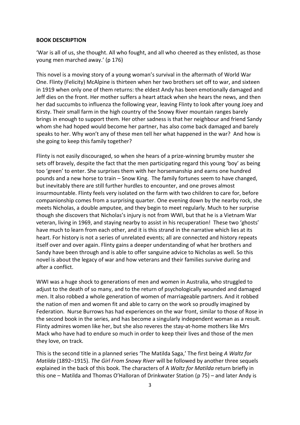#### **BOOK DESCRIPTION**

'War is all of us, she thought. All who fought, and all who cheered as they enlisted, as those young men marched away.' (p 176)

This novel is a moving story of a young woman's survival in the aftermath of World War One. Flinty (Felicity) McAlpine is thirteen when her two brothers set off to war, and sixteen in 1919 when only one of them returns: the eldest Andy has been emotionally damaged and Jeff dies on the front. Her mother suffers a heart attack when she hears the news, and then her dad succumbs to influenza the following year, leaving Flinty to look after young Joey and Kirsty. Their small farm in the high country of the Snowy River mountain ranges barely brings in enough to support them. Her other sadness is that her neighbour and friend Sandy whom she had hoped would become her partner, has also come back damaged and barely speaks to her. Why won't any of these men tell her what happened in the war? And how is she going to keep this family together?

Flinty is not easily discouraged, so when she hears of a prize-winning brumby muster she sets off bravely, despite the fact that the men participating regard this young 'boy' as being too 'green' to enter. She surprises them with her horsemanship and earns one hundred pounds and a new horse to train – Snow King. The family fortunes seem to have changed, but inevitably there are still further hurdles to encounter, and one proves almost insurmountable. Flinty feels very isolated on the farm with two children to care for, before companionship comes from a surprising quarter. One evening down by the nearby rock, she meets Nicholas, a double amputee, and they begin to meet regularly. Much to her surprise though she discovers that Nicholas's injury is not from WWI, but that he is a Vietnam War veteran, living in 1969, and staying nearby to assist in his recuperation! These two 'ghosts' have much to learn from each other, and it is this strand in the narrative which lies at its heart. For history is not a series of unrelated events; all are connected and history repeats itself over and over again. Flinty gains a deeper understanding of what her brothers and Sandy have been through and is able to offer sanguine advice to Nicholas as well. So this novel is about the legacy of war and how veterans and their families survive during and after a conflict.

WWI was a huge shock to generations of men and women in Australia, who struggled to adjust to the death of so many, and to the return of psychologically wounded and damaged men. It also robbed a whole generation of women of marriageable partners. And it robbed the nation of men and women fit and able to carry on the work so proudly imagined by Federation. Nurse Burrows has had experiences on the war front, similar to those of Rose in the second book in the series, and has become a singularly independent woman as a result. Flinty admires women like her, but she also reveres the stay-at-home mothers like Mrs Mack who have had to endure so much in order to keep their lives and those of the men they love, on track.

This is the second title in a planned series 'The Matilda Saga,' The first being *A Waltz for Matilda* (1892–1915). *The Girl From Snowy River* will be followed by another three sequels explained in the back of this book. The characters of A *Waltz for Matilda* return briefly in this one – Matilda and Thomas O'Halloran of Drinkwater Station (p 75) – and later Andy is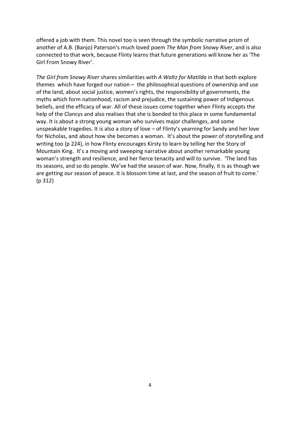offered a job with them. This novel too is seen through the symbolic narrative prism of another of A.B. (Banjo) Paterson's much loved poem *The Man from Snowy River*, and is also connected to that work, because Flinty learns that future generations will know her as 'The Girl From Snowy River'.

*The Girl from Snowy River* shares similarities with *A Waltz for Matilda* in that both explore themes which have forged our nation – the philosophical questions of ownership and use of the land, about social justice, women's rights, the responsibility of governments, the myths which form nationhood, racism and prejudice, the sustaining power of Indigenous beliefs, and the efficacy of war. All of these issues come together when Flinty accepts the help of the Clancys and also realises that she is bonded to this place in some fundamental way. It is about a strong young woman who survives major challenges, and some unspeakable tragedies. It is also a story of love – of Flinty's yearning for Sandy and her love for Nicholas, and about how she becomes a woman. It's about the power of storytelling and writing too (p 224), in how Flinty encourages Kirsty to learn by telling her the Story of Mountain King. It's a moving and sweeping narrative about another remarkable young woman's strength and resilience, and her fierce tenacity and will to survive. 'The land has its seasons, and so do people. We've had the season of war. Now, finally, it is as though we are getting our season of peace. It is blossom time at last, and the season of fruit to come.' (p 312)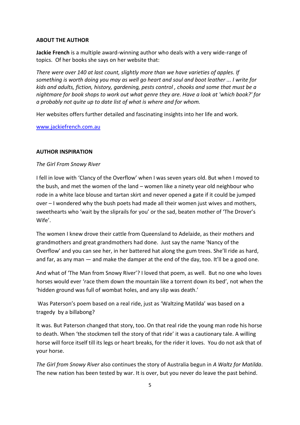### **ABOUT THE AUTHOR**

**Jackie French** is a multiple award-winning author who deals with a very wide-range of topics. Of her books she says on her website that:

*There were over 140 at last count, slightly more than we have varieties of apples. If something is worth doing you may as well go heart and soul and boot leather ... I write for kids and adults, fiction, history, gardening, pests control , chooks and some that must be a nightmare for book shops to work out what genre they are. Have a look at 'which book?' for a probably not quite up to date list of what is where and for whom.*

Her websites offers further detailed and fascinating insights into her life and work.

[www.jackiefrench.com.au](http://www.jackiefrench.com.au/)

#### **AUTHOR INSPIRATION**

#### *The Girl From Snowy River*

I fell in love with 'Clancy of the Overflow' when I was seven years old. But when I moved to the bush, and met the women of the land – women like a ninety year old neighbour who rode in a white lace blouse and tartan skirt and never opened a gate if it could be jumped over – I wondered why the bush poets had made all their women just wives and mothers, sweethearts who 'wait by the sliprails for you' or the sad, beaten mother of 'The Drover's Wife'.

The women I knew drove their cattle from Queensland to Adelaide, as their mothers and grandmothers and great grandmothers had done. Just say the name 'Nancy of the Overflow' and you can see her, in her battered hat along the gum trees. She'll ride as hard, and far, as any man — and make the damper at the end of the day, too. It'll be a good one.

And what of 'The Man from Snowy River'? I loved that poem, as well. But no one who loves horses would ever 'race them down the mountain like a torrent down its bed', not when the 'hidden ground was full of wombat holes, and any slip was death.'

Was Paterson's poem based on a real ride, just as 'Waltzing Matilda' was based on a tragedy by a billabong?

It was. But Paterson changed that story, too. On that real ride the young man rode his horse to death. When 'the stockmen tell the story of that ride' it was a cautionary tale. A willing horse will force itself till its legs or heart breaks, for the rider it loves. You do not ask that of your horse.

*The Girl from Snowy River* also continues the story of Australia begun in *A Waltz for Matilda*. The new nation has been tested by war. It is over, but you never do leave the past behind.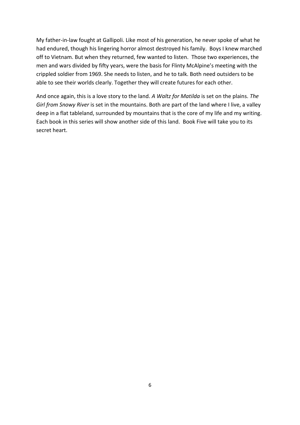My father-in-law fought at Gallipoli. Like most of his generation, he never spoke of what he had endured, though his lingering horror almost destroyed his family. Boys I knew marched off to Vietnam. But when they returned, few wanted to listen. Those two experiences, the men and wars divided by fifty years, were the basis for Flinty McAlpine's meeting with the crippled soldier from 1969. She needs to listen, and he to talk. Both need outsiders to be able to see their worlds clearly. Together they will create futures for each other.

And once again, this is a love story to the land. *A Waltz for Matilda* is set on the plains. *The Girl from Snowy River* is set in the mountains. Both are part of the land where I live, a valley deep in a flat tableland, surrounded by mountains that is the core of my life and my writing. Each book in this series will show another side of this land. Book Five will take you to its secret heart.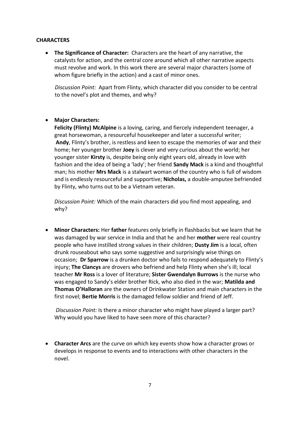#### **CHARACTERS**

 **The Significance of Character:** Characters are the heart of any narrative, the catalysts for action, and the central core around which all other narrative aspects must revolve and work. In this work there are several major characters (some of whom figure briefly in the action) and a cast of minor ones.

*Discussion Point:* Apart from Flinty, which character did you consider to be central to the novel's plot and themes, and why?

## **Major Characters:**

**Felicity (Flinty) McAlpine** is a loving, caring, and fiercely independent teenager, a great horsewoman, a resourceful housekeeper and later a successful writer; **Andy**, Flinty's brother, is restless and keen to escape the memories of war and their home; her younger brother **Joey** is clever and very curious about the world; her younger sister **Kirsty** is, despite being only eight years old, already in love with fashion and the idea of being a 'lady'; her friend **Sandy Mack** is a kind and thoughtful man; his mother **Mrs Mack** is a stalwart woman of the country who is full of wisdom and is endlessly resourceful and supportive; **Nicholas,** a double-amputee befriended by Flinty, who turns out to be a Vietnam veteran.

*Discussion Point:* Which of the main characters did you find most appealing, and why?

 **Minor Characters:** Her **father** features only briefly in flashbacks but we learn that he was damaged by war service in India and that he and her **mother** were real country people who have instilled strong values in their children; **Dusty Jim** is a local, often drunk rouseabout who says some suggestive and surprisingly wise things on occasion; **Dr Sparrow** is a drunken doctor who fails to respond adequately to Flinty's injury; **The Clancys** are drovers who befriend and help Flinty when she's ill; local teacher **Mr Ross** is a lover of literature; **Sister Gwendalyn Burrows** is the nurse who was engaged to Sandy's elder brother Rick, who also died in the war; **Matilda and Thomas O'Halloran** are the owners of Drinkwater Station and main characters in the first novel; **Bertie Morris** is the damaged fellow soldier and friend of Jeff.

*Discussion Point:* Is there a minor character who might have played a larger part? Why would you have liked to have seen more of this character?

 **Character Arcs** are the curve on which key events show how a character grows or develops in response to events and to interactions with other characters in the novel.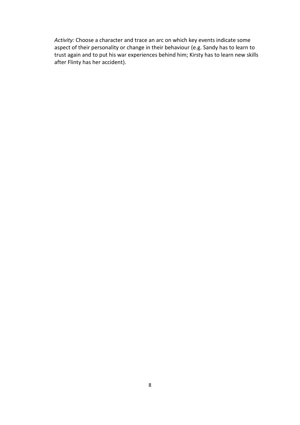*Activity:* Choose a character and trace an arc on which key events indicate some aspect of their personality or change in their behaviour (e.g. Sandy has to learn to trust again and to put his war experiences behind him; Kirsty has to learn new skills after Flinty has her accident).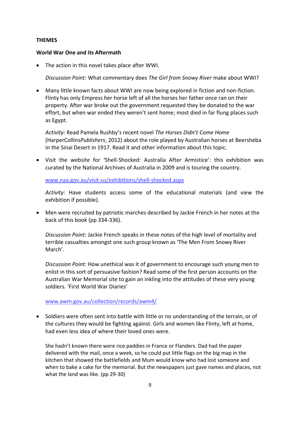### **THEMES**

#### **World War One and its Aftermath**

The action in this novel takes place after WWI.

*Discussion Point:* What commentary does *The Girl from Snowy River* make about WWI?

 Many little known facts about WWI are now being explored in fiction and non-fiction. Flinty has only Empress her horse left of all the horses her father once ran on their property. After war broke out the government requested they be donated to the war effort, but when war ended they weren't sent home; most died in far flung places such as Egypt.

*Activity:* Read Pamela Rushby's recent novel *The Horses Didn't Come Home*  (HarperCollins*Publishers*, 2012) about the role played by Australian horses at Beersheba in the Sinai Desert in 1917. Read it and other information about this topic.

 Visit the website for 'Shell-Shocked: Australia After Armistice': this exhibition was curated by the National Archives of Australia in 2009 and is touring the country.

[www.naa.gov.au/visit-us/exhibitions/shell-shocked.aspx](http://www.naa.gov.au/visit-us/exhibitions/shell-shocked.aspx)

*Activity:* Have students access some of the educational materials (and view the exhibition if possible).

 Men were recruited by patriotic marches described by Jackie French in her notes at the back of this book (pp 334-336).

*Discussion Point:* Jackie French speaks in these notes of the high level of mortality and terrible casualties amongst one such group known as 'The Men From Snowy River March'.

*Discussion Point:* How unethical was it of government to encourage such young men to enlist in this sort of persuasive fashion? Read some of the first person accounts on the Australian War Memorial site to gain an inkling into the attitudes of these very young soldiers. 'First World War Diaries'

www.awm.gov.au/collection/records/awm4/

 Soldiers were often sent into battle with little or no understanding of the terrain, or of the cultures they would be fighting against. Girls and women like Flinty, left at home, had even less idea of where their loved ones were.

She hadn't known there were rice paddies in France or Flanders. Dad had the paper delivered with the mail, once a week, so he could put little flags on the big map in the kitchen that showed the battlefields and Mum would know who had lost someone and when to bake a cake for the memorial. But the newspapers just gave names and places, not what the land was like. (pp 29-30)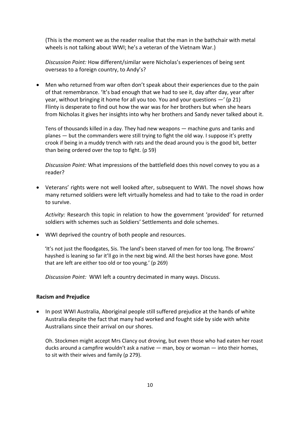(This is the moment we as the reader realise that the man in the bathchair with metal wheels is not talking about WWI; he's a veteran of the Vietnam War.)

*Discussion Point:* How different/similar were Nicholas's experiences of being sent overseas to a foreign country, to Andy's?

 Men who returned from war often don't speak about their experiences due to the pain of that remembrance. 'It's bad enough that we had to see it, day after day, year after year, without bringing it home for all you too. You and your questions —' (p 21) Flinty is desperate to find out how the war was for her brothers but when she hears from Nicholas it gives her insights into why her brothers and Sandy never talked about it.

Tens of thousands killed in a day. They had new weapons — machine guns and tanks and planes — but the commanders were still trying to fight the old way. I suppose it's pretty crook if being in a muddy trench with rats and the dead around you is the good bit, better than being ordered over the top to fight. (p 59)

*Discussion Point:* What impressions of the battlefield does this novel convey to you as a reader?

 Veterans' rights were not well looked after, subsequent to WWI. The novel shows how many returned soldiers were left virtually homeless and had to take to the road in order to survive.

*Activity:* Research this topic in relation to how the government 'provided' for returned soldiers with schemes such as Soldiers' Settlements and dole schemes.

WWI deprived the country of both people and resources.

'It's not just the floodgates, Sis. The land's been starved of men for too long. The Browns' hayshed is leaning so far it'll go in the next big wind. All the best horses have gone. Most that are left are either too old or too young.' (p 269)

*Discussion Point:* WWI left a country decimated in many ways. Discuss.

#### **Racism and Prejudice**

• In post WWI Australia, Aboriginal people still suffered prejudice at the hands of white Australia despite the fact that many had worked and fought side by side with white Australians since their arrival on our shores.

Oh. Stockmen might accept Mrs Clancy out droving, but even those who had eaten her roast ducks around a campfire wouldn't ask a native — man, boy or woman — into their homes, to sit with their wives and family (p 279).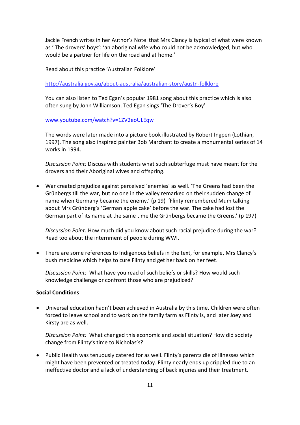Jackie French writes in her Author's Note that Mrs Clancy is typical of what were known as ' The drovers' boys': 'an aboriginal wife who could not be acknowledged, but who would be a partner for life on the road and at home.'

Read about this practice 'Australian Folklore'

http://australia.gov.au/about-australia/australian-story/austn-folklore

You can also listen to Ted Egan's popular 1981 song about this practice which is also often sung by John Williamson. Ted Egan sings 'The Drover's Boy'

[www.youtube.com/watch?v=1ZV2eoULEqw](http://www.youtube.com/watch?v=1ZV2eoULEqw)

The words were later made into a picture book illustrated by Robert Ingpen (Lothian, 1997). The song also inspired painter Bob Marchant to create a monumental series of 14 works in 1994.

*Discussion Point:* Discuss with students what such subterfuge must have meant for the drovers and their Aboriginal wives and offspring.

 War created prejudice against perceived 'enemies' as well. 'The Greens had been the Grünbergs till the war, but no one in the valley remarked on their sudden change of name when Germany became the enemy.' (p 19) 'Flinty remembered Mum talking about Mrs Grünberg's 'German apple cake' before the war. The cake had lost the German part of its name at the same time the Grünbergs became the Greens.' (p 197)

*Discussion Point:* How much did you know about such racial prejudice during the war? Read too about the internment of people during WWI.

 There are some references to Indigenous beliefs in the text, for example, Mrs Clancy's bush medicine which helps to cure Flinty and get her back on her feet.

*Discussion Point:* What have you read of such beliefs or skills? How would such knowledge challenge or confront those who are prejudiced?

#### **Social Conditions**

 Universal education hadn't been achieved in Australia by this time. Children were often forced to leave school and to work on the family farm as Flinty is, and later Joey and Kirsty are as well.

*Discussion Point:* What changed this economic and social situation? How did society change from Flinty's time to Nicholas's?

• Public Health was tenuously catered for as well. Flinty's parents die of illnesses which might have been prevented or treated today. Flinty nearly ends up crippled due to an ineffective doctor and a lack of understanding of back injuries and their treatment.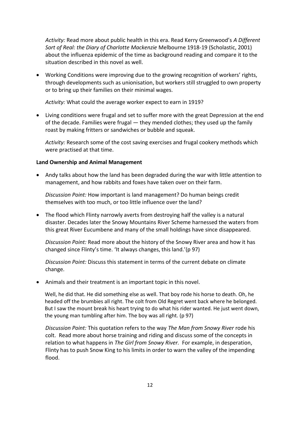*Activity:* Read more about public health in this era. Read Kerry Greenwood's *A Different Sort of Real: the Diary of Charlotte Mackenzie* Melbourne 1918-19 (Scholastic, 2001) about the influenza epidemic of the time as background reading and compare it to the situation described in this novel as well.

 Working Conditions were improving due to the growing recognition of workers' rights, through developments such as unionisation, but workers still struggled to own property or to bring up their families on their minimal wages.

*Activity:* What could the average worker expect to earn in 1919?

 Living conditions were frugal and set to suffer more with the great Depression at the end of the decade. Families were frugal — they mended clothes; they used up the family roast by making fritters or sandwiches or bubble and squeak.

*Activity:* Research some of the cost saving exercises and frugal cookery methods which were practised at that time.

#### **Land Ownership and Animal Management**

 Andy talks about how the land has been degraded during the war with little attention to management, and how rabbits and foxes have taken over on their farm.

*Discussion Point:* How important is land management? Do human beings credit themselves with too much, or too little influence over the land?

 The flood which Flinty narrowly averts from destroying half the valley is a natural disaster. Decades later the Snowy Mountains River Scheme harnessed the waters from this great River Eucumbene and many of the small holdings have since disappeared.

*Discussion Point:* Read more about the history of the Snowy River area and how it has changed since Flinty's time. 'It always changes, this land.'(p 97)

*Discussion Point:* Discuss this statement in terms of the current debate on climate change.

Animals and their treatment is an important topic in this novel.

Well, he did that. He did something else as well. That boy rode his horse to death. Oh, he headed off the brumbies all right. The colt from Old Regret went back where he belonged. But I saw the mount break his heart trying to do what his rider wanted. He just went down, the young man tumbling after him. The boy was all right. (p 97)

*Discussion Point:* This quotation refers to the way *The Man from Snowy River* rode his colt. Read more about horse training and riding and discuss some of the concepts in relation to what happens in *The Girl from Snowy River.* For example, in desperation, Flinty has to push Snow King to his limits in order to warn the valley of the impending flood.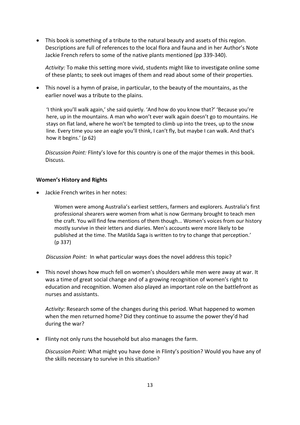This book is something of a tribute to the natural beauty and assets of this region. Descriptions are full of references to the local flora and fauna and in her Author's Note Jackie French refers to some of the native plants mentioned (pp 339-340).

*Activity:* To make this setting more vivid, students might like to investigate online some of these plants; to seek out images of them and read about some of their properties.

 This novel is a hymn of praise, in particular, to the beauty of the mountains, as the earlier novel was a tribute to the plains.

'I think you'll walk again,' she said quietly. 'And how do you know that?' 'Because you're here, up in the mountains. A man who won't ever walk again doesn't go to mountains. He stays on flat land, where he won't be tempted to climb up into the trees, up to the snow line. Every time you see an eagle you'll think, I can't fly, but maybe I can walk. And that's how it begins.' (p 62)

*Discussion Point:* Flinty's love for this country is one of the major themes in this book. Discuss.

## **Women's History and Rights**

Jackie French writes in her notes:

Women were among Australia's earliest settlers, farmers and explorers. Australia's first professional shearers were women from what is now Germany brought to teach men the craft. You will find few mentions of them though... Women's voices from our history mostly survive in their letters and diaries. Men's accounts were more likely to be published at the time. The Matilda Saga is written to try to change that perception.' (p 337)

 *Discussion Point:* In what particular ways does the novel address this topic?

 This novel shows how much fell on women's shoulders while men were away at war. It was a time of great social change and of a growing recognition of women's right to education and recognition. Women also played an important role on the battlefront as nurses and assistants.

*Activity:* Research some of the changes during this period. What happened to women when the men returned home? Did they continue to assume the power they'd had during the war?

Flinty not only runs the household but also manages the farm.

*Discussion Point:* What might you have done in Flinty's position? Would you have any of the skills necessary to survive in this situation?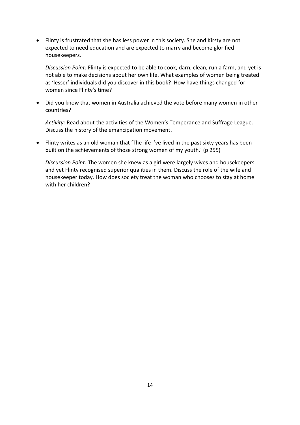Flinty is frustrated that she has less power in this society. She and Kirsty are not expected to need education and are expected to marry and become glorified housekeepers*.* 

*Discussion Point:* Flinty is expected to be able to cook, darn, clean, run a farm, and yet is not able to make decisions about her own life. What examples of women being treated as 'lesser' individuals did you discover in this book? How have things changed for women since Flinty's time?

 Did you know that women in Australia achieved the vote before many women in other countries?

*Activity:* Read about the activities of the Women's Temperance and Suffrage League. Discuss the history of the emancipation movement.

 Flinty writes as an old woman that 'The life I've lived in the past sixty years has been built on the achievements of those strong women of my youth.' (p 255)

*Discussion Point:* The women she knew as a girl were largely wives and housekeepers, and yet Flinty recognised superior qualities in them. Discuss the role of the wife and housekeeper today. How does society treat the woman who chooses to stay at home with her children?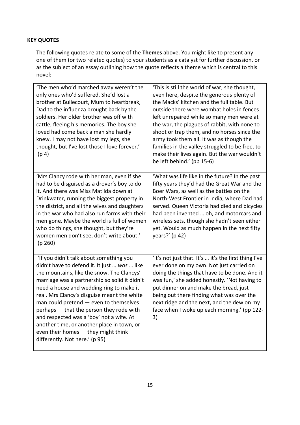# **KEY QUOTES**

The following quotes relate to some of the **Themes** above. You might like to present any one of them (or two related quotes) to your students as a catalyst for further discussion, or as the subject of an essay outlining how the quote reflects a theme which is central to this novel:

| 'The men who'd marched away weren't the<br>only ones who'd suffered. She'd lost a<br>brother at Bullecourt, Mum to heartbreak,<br>Dad to the influenza brought back by the<br>soldiers. Her older brother was off with<br>cattle, fleeing his memories. The boy she<br>loved had come back a man she hardly<br>knew. I may not have lost my legs, she<br>thought, but I've lost those I love forever.'<br>(p <sub>4</sub> )                                                                                                                | 'This is still the world of war, she thought,<br>even here, despite the generous plenty of<br>the Macks' kitchen and the full table. But<br>outside there were wombat holes in fences<br>left unrepaired while so many men were at<br>the war, the plagues of rabbit, with none to<br>shoot or trap them, and no horses since the<br>army took them all. It was as though the<br>families in the valley struggled to be free, to<br>make their lives again. But the war wouldn't<br>be left behind.' (pp 15-6) |
|--------------------------------------------------------------------------------------------------------------------------------------------------------------------------------------------------------------------------------------------------------------------------------------------------------------------------------------------------------------------------------------------------------------------------------------------------------------------------------------------------------------------------------------------|----------------------------------------------------------------------------------------------------------------------------------------------------------------------------------------------------------------------------------------------------------------------------------------------------------------------------------------------------------------------------------------------------------------------------------------------------------------------------------------------------------------|
| 'Mrs Clancy rode with her man, even if she<br>had to be disguised as a drover's boy to do<br>it. And there was Miss Matilda down at<br>Drinkwater, running the biggest property in<br>the district, and all the wives and daughters<br>in the war who had also run farms with their<br>men gone. Maybe the world is full of women<br>who do things, she thought, but they're<br>women men don't see, don't write about.'<br>(p 260)                                                                                                        | 'What was life like in the future? In the past<br>fifty years they'd had the Great War and the<br>Boer Wars, as well as the battles on the<br>North-West Frontier in India, where Dad had<br>served. Queen Victoria had died and bicycles<br>had been invented  oh, and motorcars and<br>wireless sets, though she hadn't seen either<br>yet. Would as much happen in the next fifty<br>years?' (p 42)                                                                                                         |
| 'If you didn't talk about something you<br>didn't have to defend it. It just  was  like<br>the mountains, like the snow. The Clancys'<br>marriage was a partnership so solid it didn't<br>need a house and wedding ring to make it<br>real. Mrs Clancy's disguise meant the white<br>man could pretend - even to themselves<br>perhaps - that the person they rode with<br>and respected was a 'boy' not a wife. At<br>another time, or another place in town, or<br>even their homes - they might think<br>differently. Not here.' (p 95) | 'It's not just that. It's  it's the first thing I've<br>ever done on my own. Not just carried on<br>doing the things that have to be done. And it<br>was fun,' she added honestly. 'Not having to<br>put dinner on and make the bread, just<br>being out there finding what was over the<br>next ridge and the next, and the dew on my<br>face when I woke up each morning.' (pp 122-<br>3)                                                                                                                    |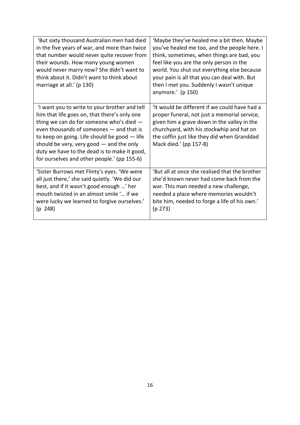| 'But sixty thousand Australian men had died<br>in the five years of war, and more than twice<br>that number would never quite recover from<br>their wounds. How many young women<br>would never marry now? She didn't want to<br>think about it. Didn't want to think about<br>marriage at all.' (p 130)                                                                             | 'Maybe they've healed me a bit then. Maybe<br>you've healed me too, and the people here. I<br>think, sometimes, when things are bad, you<br>feel like you are the only person in the<br>world. You shut out everything else because<br>your pain is all that you can deal with. But<br>then I met you. Suddenly I wasn't unique<br>anymore.' (p 150) |
|--------------------------------------------------------------------------------------------------------------------------------------------------------------------------------------------------------------------------------------------------------------------------------------------------------------------------------------------------------------------------------------|------------------------------------------------------------------------------------------------------------------------------------------------------------------------------------------------------------------------------------------------------------------------------------------------------------------------------------------------------|
| 'I want you to write to your brother and tell<br>him that life goes on, that there's only one<br>thing we can do for someone who's died $-$<br>even thousands of someones - and that is<br>to keep on going. Life should be good - life<br>should be very, very good $-$ and the only<br>duty we have to the dead is to make it good,<br>for ourselves and other people.' (pp 155-6) | 'It would be different if we could have had a<br>proper funeral, not just a memorial service,<br>given him a grave down in the valley in the<br>churchyard, with his stockwhip and hat on<br>the coffin just like they did when Granddad<br>Mack died.' (pp 157-8)                                                                                   |
| 'Sister Burrows met Flinty's eyes. 'We were<br>all just there,' she said quietly. 'We did our<br>best, and if it wasn't good enough ' her<br>mouth twisted in an almost smile ' if we<br>were lucky we learned to forgive ourselves.'<br>(p 248)                                                                                                                                     | 'But all at once she realised that the brother<br>she'd known never had come back from the<br>war. This man needed a new challenge,<br>needed a place where memories wouldn't<br>bite him, needed to forge a life of his own.'<br>(p 273)                                                                                                            |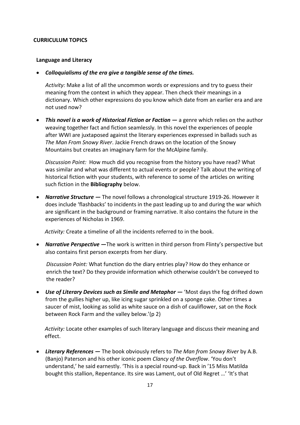#### **CURRICULUM TOPICS**

#### **Language and Literacy**

*Colloquialisms of the era give a tangible sense of the times.* 

*Activity:* Make a list of all the uncommon words or expressions and try to guess their meaning from the context in which they appear. Then check their meanings in a dictionary. Which other expressions do you know which date from an earlier era and are not used now?

 *This novel is a work of Historical Fiction or Faction —* a genre which relies on the author weaving together fact and fiction seamlessly. In this novel the experiences of people after WWI are juxtaposed against the literary experiences expressed in ballads such as *The Man From Snowy River*. Jackie French draws on the location of the Snowy Mountains but creates an imaginary farm for the McAlpine family.

*Discussion Point:* How much did you recognise from the history you have read? What was similar and what was different to actual events or people? Talk about the writing of historical fiction with your students, with reference to some of the articles on writing such fiction in the **Bibliography** below.

 *Narrative Structure —* The novel follows a chronological structure 1919-26. However it does include 'flashbacks' to incidents in the past leading up to and during the war which are significant in the background or framing narrative. It also contains the future in the experiences of Nicholas in 1969.

*Activity:* Create a timeline of all the incidents referred to in the book.

 *Narrative Perspective —*The work is written in third person from Flinty's perspective but also contains first person excerpts from her diary.

*Discussion Point:* What function do the diary entries play? How do they enhance or enrich the text? Do they provide information which otherwise couldn't be conveyed to the reader?

 *Use of Literary Devices such as Simile and Metaphor —* 'Most days the fog drifted down from the gullies higher up, like icing sugar sprinkled on a sponge cake. Other times a saucer of mist, looking as solid as white sauce on a dish of cauliflower, sat on the Rock between Rock Farm and the valley below.'(p 2)

*Activity:* Locate other examples of such literary language and discuss their meaning and effect.

 *Literary References —* The book obviously refers to *The Man from Snowy River* by A.B. (Banjo) Paterson and his other iconic poem *Clancy of the Overflow*. 'You don't understand,' he said earnestly. 'This is a special round-up. Back in '15 Miss Matilda bought this stallion, Repentance. Its sire was Lament, out of Old Regret …' 'It's that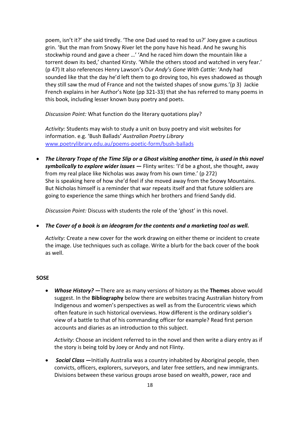poem, isn't it?' she said tiredly. 'The one Dad used to read to us?' Joey gave a cautious grin. 'But the man from Snowy River let the pony have his head. And he swung his stockwhip round and gave a cheer …' 'And he raced him down the mountain like a torrent down its bed,' chanted Kirsty. 'While the others stood and watched in very fear.' (p 47) It also references Henry Lawson's *Our Andy's Gone With Cattle*: 'Andy had sounded like that the day he'd left them to go droving too, his eyes shadowed as though they still saw the mud of France and not the twisted shapes of snow gums.'(p 3) Jackie French explains in her Author's Note (pp 321-33) that she has referred to many poems in this book, including lesser known busy poetry and poets.

*Discussion Point:* What function do the literary quotations play?

*Activity:* Students may wish to study a unit on busy poetry and visit websites for information. e.g. 'Bush Ballads' *Australian Poetry Library* [www.poetrylibrary.edu.au/poems-poetic-form/bush-ballads](http://www.poetrylibrary.edu.au/poems-poetic-form/bush-ballads)

 *The Literary Trope of the Time Slip or a Ghost visiting another time, is used in this novel symbolically to explore wider issues —* Flinty writes: 'I'd be a ghost, she thought, away from my real place like Nicholas was away from his own time.' (p 272) She is speaking here of how she'd feel if she moved away from the Snowy Mountains. But Nicholas himself is a reminder that war repeats itself and that future soldiers are going to experience the same things which her brothers and friend Sandy did.

*Discussion Point:* Discuss with students the role of the 'ghost' in this novel.

*The Cover of a book is an ideogram for the contents and a marketing tool as well.* 

*Activity:* Create a new cover for the work drawing on either theme or incident to create the image. Use techniques such as collage. Write a blurb for the back cover of the book as well.

#### **SOSE**

 *Whose History?* **—**There are as many versions of history as the **Themes** above would suggest. In the **Bibliography** below there are websites tracing Australian history from Indigenous and women's perspectives as well as from the Eurocentric views which often feature in such historical overviews. How different is the ordinary soldier's view of a battle to that of his commanding officer for example? Read first person accounts and diaries as an introduction to this subject.

*Activity*: Choose an incident referred to in the novel and then write a diary entry as if the story is being told by Joey or Andy and not Flinty.

 *Social Class* **—**Initially Australia was a country inhabited by Aboriginal people, then convicts, officers, explorers, surveyors, and later free settlers, and new immigrants. Divisions between these various groups arose based on wealth, power, race and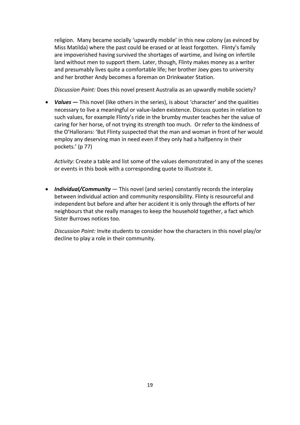religion. Many became socially 'upwardly mobile' in this new colony (as evinced by Miss Matilda) where the past could be erased or at least forgotten. Flinty's family are impoverished having survived the shortages of wartime, and living on infertile land without men to support them. Later, though, Flinty makes money as a writer and presumably lives quite a comfortable life; her brother Joey goes to university and her brother Andy becomes a foreman on Drinkwater Station.

*Discussion Point:* Does this novel present Australia as an upwardly mobile society?

 *Values* **—** This novel (like others in the series), is about 'character' and the qualities necessary to live a meaningful or value-laden existence. Discuss quotes in relation to such values, for example Flinty's ride in the brumby muster teaches her the value of caring for her horse, of not trying its strength too much. Or refer to the kindness of the O'Hallorans: 'But Flinty suspected that the man and woman in front of her would employ any deserving man in need even if they only had a halfpenny in their pockets.' (p 77)

*Activity:* Create a table and list some of the values demonstrated in any of the scenes or events in this book with a corresponding quote to illustrate it.

 *Individual/Community* — This novel (and series) constantly records the interplay between individual action and community responsibility. Flinty is resourceful and independent but before and after her accident it is only through the efforts of her neighbours that she really manages to keep the household together, a fact which Sister Burrows notices too.

*Discussion Point:* Invite students to consider how the characters in this novel play/or decline to play a role in their community.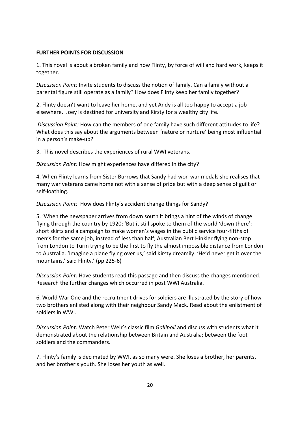### **FURTHER POINTS FOR DISCUSSION**

1. This novel is about a broken family and how Flinty, by force of will and hard work, keeps it together.

*Discussion Point:* Invite students to discuss the notion of family. Can a family without a parental figure still operate as a family? How does Flinty keep her family together?

2. Flinty doesn't want to leave her home, and yet Andy is all too happy to accept a job elsewhere. Joey is destined for university and Kirsty for a wealthy city life.

*Discussion Point:* How can the members of one family have such different attitudes to life? What does this say about the arguments between 'nature or nurture' being most influential in a person's make-up?

3. This novel describes the experiences of rural WWI veterans.

*Discussion Point:* How might experiences have differed in the city?

4. When Flinty learns from Sister Burrows that Sandy had won war medals she realises that many war veterans came home not with a sense of pride but with a deep sense of guilt or self-loathing.

*Discussion Point:* How does Flinty's accident change things for Sandy?

5. 'When the newspaper arrives from down south it brings a hint of the winds of change flying through the country by 1920: 'But it still spoke to them of the world 'down there': short skirts and a campaign to make women's wages in the public service four-fifths of men's for the same job, instead of less than half; Australian Bert Hinkler flying non-stop from London to Turin trying to be the first to fly the almost impossible distance from London to Australia. 'Imagine a plane flying over us,' said Kirsty dreamily. 'He'd never get it over the mountains,' said Flinty.' (pp 225-6)

*Discussion Point:* Have students read this passage and then discuss the changes mentioned. Research the further changes which occurred in post WWI Australia.

6. World War One and the recruitment drives for soldiers are illustrated by the story of how two brothers enlisted along with their neighbour Sandy Mack. Read about the enlistment of soldiers in WWI.

*Discussion Point:* Watch Peter Weir's classic film *Gallipoli* and discuss with students what it demonstrated about the relationship between Britain and Australia; between the foot soldiers and the commanders.

7. Flinty's family is decimated by WWI, as so many were. She loses a brother, her parents, and her brother's youth. She loses her youth as well.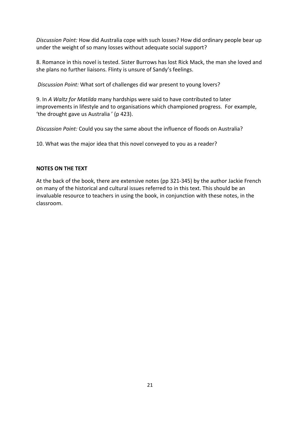*Discussion Point:* How did Australia cope with such losses? How did ordinary people bear up under the weight of so many losses without adequate social support?

8. Romance in this novel is tested. Sister Burrows has lost Rick Mack, the man she loved and she plans no further liaisons. Flinty is unsure of Sandy's feelings.

*Discussion Point:* What sort of challenges did war present to young lovers?

9. In *A Waltz for Matilda* many hardships were said to have contributed to later improvements in lifestyle and to organisations which championed progress. For example, 'the drought gave us Australia ' (p 423).

*Discussion Point:* Could you say the same about the influence of floods on Australia?

10. What was the major idea that this novel conveyed to you as a reader?

## **NOTES ON THE TEXT**

At the back of the book, there are extensive notes (pp 321-345) by the author Jackie French on many of the historical and cultural issues referred to in this text. This should be an invaluable resource to teachers in using the book, in conjunction with these notes, in the classroom.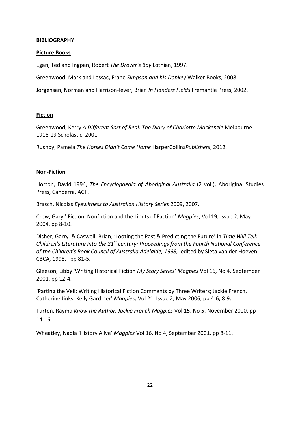#### **BIBLIOGRAPHY**

#### **Picture Books**

Egan, Ted and Ingpen, Robert *The Drover's Boy* Lothian, 1997.

Greenwood, Mark and Lessac, Frane *Simpson and his Donkey* Walker Books, 2008.

Jorgensen, Norman and Harrison-lever, Brian *In Flanders Fields* Fremantle Press, 2002.

#### **Fiction**

Greenwood, Kerry *A Different Sort of Real: The Diary of Charlotte Mackenzie* Melbourne 1918-19 Scholastic, 2001.

Rushby, Pamela *The Horses Didn't Come Home* HarperCollins*Publishers*, 2012.

#### **Non-Fiction**

Horton, David 1994, *The Encyclopaedia of Aboriginal Australia* (2 vol.), Aboriginal Studies Press, Canberra, ACT.

Brasch, Nicolas *Eyewitness to Australian History Series* 2009, 2007.

Crew, Gary.' Fiction, Nonfiction and the Limits of Faction' *Magpies*, Vol 19, Issue 2, May 2004, pp 8-10.

Disher, Garry & Caswell, Brian, 'Looting the Past & Predicting the Future' in *Time Will Tell: Children's Literature into the 21st century: Proceedings from the Fourth National Conference of the Children's Book Council of Australia Adelaide, 1998,* edited by Sieta van der Hoeven. CBCA, 1998, pp 81-5.

Gleeson, Libby 'Writing Historical Fiction *My Story Series' Magpies* Vol 16, No 4, September 2001, pp 12-4.

'Parting the Veil: Writing Historical Fiction Comments by Three Writers; Jackie French, Catherine Jinks, Kelly Gardiner' *Magpies,* Vol 21, Issue 2, May 2006, pp 4-6, 8-9.

Turton, Rayma *Know the Author: Jackie French Magpies* Vol 15, No 5, November 2000, pp 14-16.

Wheatley, Nadia 'History Alive' *Magpies* Vol 16, No 4, September 2001, pp 8-11.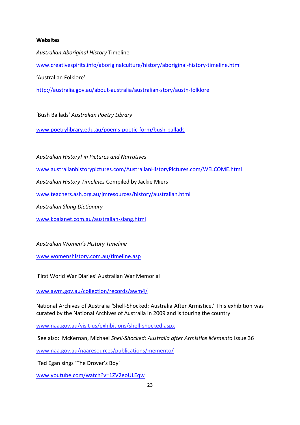# **Websites**

*Australian Aboriginal History* Timeline [www.creativespirits.info/aboriginalculture/history/aboriginal-history-timeline.html](http://www.creativespirits.info/aboriginalculture/history/aboriginal-history-timeline.html)

'Australian Folklore'

<http://australia.gov.au/about-australia/australian-story/austn-folklore>

'Bush Ballads' *Australian Poetry Library*

[www.poetrylibrary.edu.au/poems-poetic-form/bush-ballads](http://www.poetrylibrary.edu.au/poems-poetic-form/bush-ballads)

*Australian History! in Pictures and Narratives* 

[www.australianhistorypictures.com/AustralianHistoryPictures.com/WELCOME.html](http://www.australianhistorypictures.com/AustralianHistoryPictures.com/WELCOME.html)

*Australian History Timelines* Compiled by Jackie Miers

[www.teachers.ash.org.au/jmresources/history/australian.html](http://www.teachers.ash.org.au/jmresources/history/australian.html)

*Australian Slang Dictionary*

[www.koalanet.com.au/australian-slang.html](http://www.koalanet.com.au/australian-slang.html)

*Australian Women's History Timeline*

[www.womenshistory.com.au/timeline.asp](http://www.womenshistory.com.au/timeline.asp)

'First World War Diaries' Australian War Memorial

[www.awm.gov.au/collection/records/awm4/](http://www.awm.gov.au/collection/records/awm4/)

National Archives of Australia 'Shell-Shocked: Australia After Armistice.' This exhibition was curated by the National Archives of Australia in 2009 and is touring the country.

[www.naa.gov.au/visit-us/exhibitions/shell-shocked.aspx](http://www.naa.gov.au/visit-us/exhibitions/shell-shocked.aspx)

See also: McKernan, Michael *Shell-Shocked: Australia after Armistice Memento* Issue 36

[www.naa.gov.au/naaresources/publications/memento/](http://www.naa.gov.au/naaresources/publications/memento/pdf/memento36.pdf)

'Ted Egan sings 'The Drover's Boy'

[www.youtube.com/watch?v=1ZV2eoULEqw](http://www.youtube.com/watch?v=1ZV2eoULEqw)